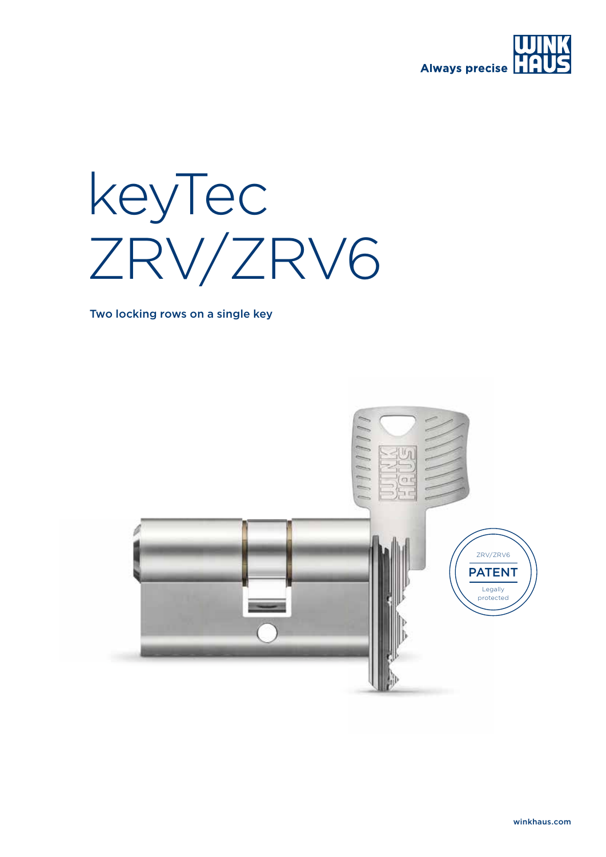

## keyTec ZRV/ZRV6

Two locking rows on a single key